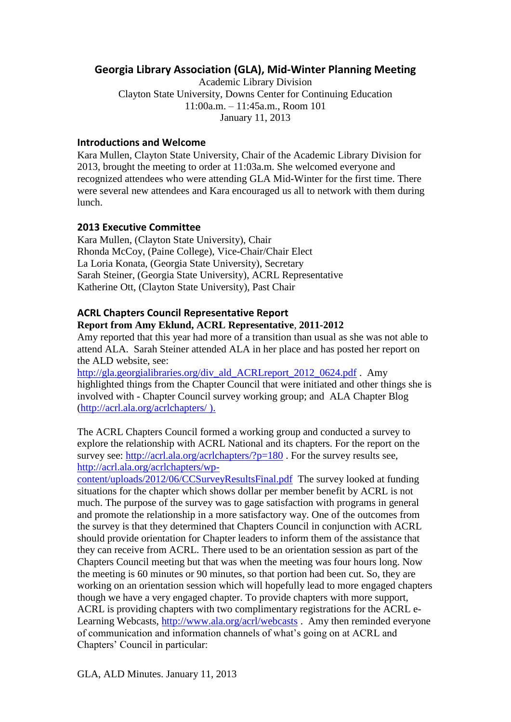# **Georgia Library Association (GLA), Mid-Winter Planning Meeting**

Academic Library Division Clayton State University, Downs Center for Continuing Education 11:00a.m. – 11:45a.m., Room 101 January 11, 2013

### **Introductions and Welcome**

Kara Mullen, Clayton State University, Chair of the Academic Library Division for 2013, brought the meeting to order at 11:03a.m. She welcomed everyone and recognized attendees who were attending GLA Mid-Winter for the first time. There were several new attendees and Kara encouraged us all to network with them during lunch.

### **2013 Executive Committee**

Kara Mullen, (Clayton State University), Chair Rhonda McCoy, (Paine College), Vice-Chair/Chair Elect La Loria Konata, (Georgia State University), Secretary Sarah Steiner, (Georgia State University), ACRL Representative Katherine Ott, (Clayton State University), Past Chair

### **ACRL Chapters Council Representative Report Report from Amy Eklund, ACRL Representative**, **2011-2012**

Amy reported that this year had more of a transition than usual as she was not able to attend ALA. Sarah Steiner attended ALA in her place and has posted her report on the ALD website, see:

[http://gla.georgialibraries.org/div\\_ald\\_ACRLreport\\_2012\\_0624.pdf](http://gla.georgialibraries.org/div_ald_ACRLreport_2012_0624.pdf) . Amy highlighted things from the Chapter Council that were initiated and other things she is involved with - Chapter Council survey working group; and ALA Chapter Blog [\(http://acrl.ala.org/acrlchapters/](http://acrl.ala.org/acrlchapters/) ).

The ACRL Chapters Council formed a working group and conducted a survey to explore the relationship with ACRL National and its chapters. For the report on the survey see:<http://acrl.ala.org/acrlchapters/?p=180>. For the survey results see, [http://acrl.ala.org/acrlchapters/wp-](http://acrl.ala.org/acrlchapters/wp-content/uploads/2012/06/CCSurveyResultsFinal.pdf)

[content/uploads/2012/06/CCSurveyResultsFinal.pdf](http://acrl.ala.org/acrlchapters/wp-content/uploads/2012/06/CCSurveyResultsFinal.pdf) The survey looked at funding situations for the chapter which shows dollar per member benefit by ACRL is not much. The purpose of the survey was to gage satisfaction with programs in general and promote the relationship in a more satisfactory way. One of the outcomes from the survey is that they determined that Chapters Council in conjunction with ACRL should provide orientation for Chapter leaders to inform them of the assistance that they can receive from ACRL. There used to be an orientation session as part of the Chapters Council meeting but that was when the meeting was four hours long. Now the meeting is 60 minutes or 90 minutes, so that portion had been cut. So, they are working on an orientation session which will hopefully lead to more engaged chapters though we have a very engaged chapter. To provide chapters with more support, ACRL is providing chapters with two complimentary registrations for the ACRL eLearning Webcasts,<http://www.ala.org/acrl/webcasts> . Amy then reminded everyone of communication and information channels of what's going on at ACRL and Chapters' Council in particular: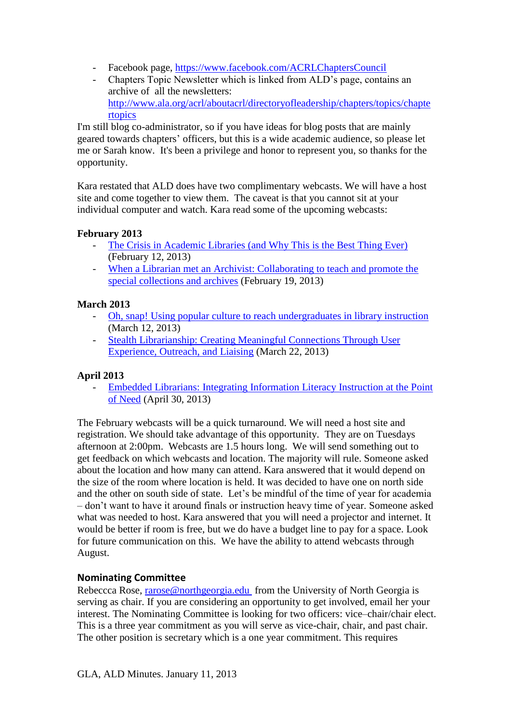- Facebook page,<https://www.facebook.com/ACRLChaptersCouncil>
- Chapters Topic Newsletter which is linked from ALD's page, contains an archive of all the newsletters: [http://www.ala.org/acrl/aboutacrl/directoryofleadership/chapters/topics/chapte](http://www.ala.org/acrl/aboutacrl/directoryofleadership/chapters/topics/chaptertopics) [rtopics](http://www.ala.org/acrl/aboutacrl/directoryofleadership/chapters/topics/chaptertopics)

I'm still blog co-administrator, so if you have ideas for blog posts that are mainly geared towards chapters' officers, but this is a wide academic audience, so please let me or Sarah know. It's been a privilege and honor to represent you, so thanks for the opportunity.

Kara restated that ALD does have two complimentary webcasts. We will have a host site and come together to view them. The caveat is that you cannot sit at your individual computer and watch. Kara read some of the upcoming webcasts:

### **February 2013**

- [The Crisis in Academic Libraries \(and Why This is the Best Thing Ever\)](http://www.ala.org/acrl/crisis) (February 12, 2013)
- When a Librarian met an Archivist: Collaborating to teach and promote the [special collections and archives](http://www.ala.org/acrl/librarianmetarchivist) (February 19, 2013)

#### **March 2013**

- [Oh, snap! Using popular culture to reach undergraduates in library instruction](http://www.ala.org/acrl/ohsnap) (March 12, 2013)
- [Stealth Librarianship: Creating Meaningful Connections Through User](http://www.ala.org/acrl/stealthlibrarianship)  [Experience, Outreach, and Liaising](http://www.ala.org/acrl/stealthlibrarianship) (March 22, 2013)

## **April 2013**

- [Embedded Librarians: Integrating Information Literacy Instruction at the Point](http://www.ala.org/acrl/onlinelearning/elearning/courses/embedded)  [of Need](http://www.ala.org/acrl/onlinelearning/elearning/courses/embedded) (April 30, 2013)

The February webcasts will be a quick turnaround. We will need a host site and registration. We should take advantage of this opportunity. They are on Tuesdays afternoon at 2:00pm. Webcasts are 1.5 hours long. We will send something out to get feedback on which webcasts and location. The majority will rule. Someone asked about the location and how many can attend. Kara answered that it would depend on the size of the room where location is held. It was decided to have one on north side and the other on south side of state. Let's be mindful of the time of year for academia – don't want to have it around finals or instruction heavy time of year. Someone asked what was needed to host. Kara answered that you will need a projector and internet. It would be better if room is free, but we do have a budget line to pay for a space. Look for future communication on this. We have the ability to attend webcasts through August.

## **Nominating Committee**

Rebeccca Rose, [rarose@northgeorgia.edu](mailto:rarose@northgeorgia.edu) from the University of North Georgia is serving as chair. If you are considering an opportunity to get involved, email her your interest. The Nominating Committee is looking for two officers: vice–chair/chair elect. This is a three year commitment as you will serve as vice-chair, chair, and past chair. The other position is secretary which is a one year commitment. This requires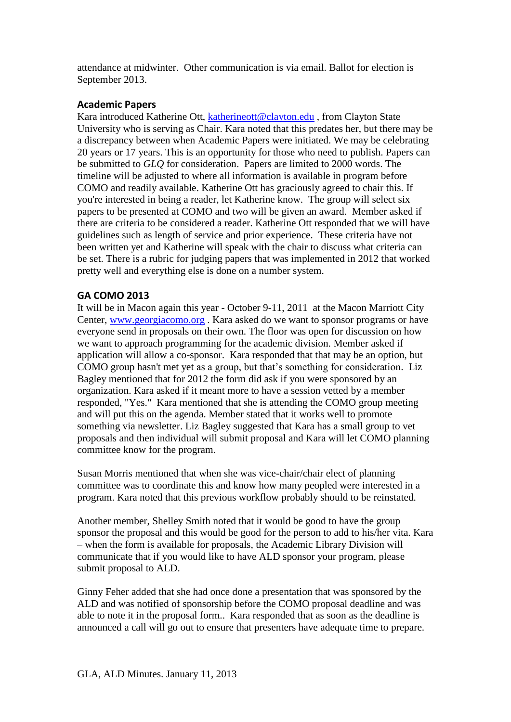attendance at midwinter. Other communication is via email. Ballot for election is September 2013.

## **Academic Papers**

Kara introduced Katherine Ott, [katherineott@clayton.edu](mailto:katherineott@clayton.edu), from Clayton State University who is serving as Chair. Kara noted that this predates her, but there may be a discrepancy between when Academic Papers were initiated. We may be celebrating 20 years or 17 years. This is an opportunity for those who need to publish. Papers can be submitted to *GLQ* for consideration. Papers are limited to 2000 words. The timeline will be adjusted to where all information is available in program before COMO and readily available. Katherine Ott has graciously agreed to chair this. If you're interested in being a reader, let Katherine know. The group will select six papers to be presented at COMO and two will be given an award. Member asked if there are criteria to be considered a reader. Katherine Ott responded that we will have guidelines such as length of service and prior experience. These criteria have not been written yet and Katherine will speak with the chair to discuss what criteria can be set. There is a rubric for judging papers that was implemented in 2012 that worked pretty well and everything else is done on a number system.

## **GA COMO 2013**

It will be in Macon again this year - October 9-11, 2011 at the Macon Marriott City Center, [www.georgiacomo.org](http://www.georgiacomo.org/) . Kara asked do we want to sponsor programs or have everyone send in proposals on their own. The floor was open for discussion on how we want to approach programming for the academic division. Member asked if application will allow a co-sponsor. Kara responded that that may be an option, but COMO group hasn't met yet as a group, but that's something for consideration. Liz Bagley mentioned that for 2012 the form did ask if you were sponsored by an organization. Kara asked if it meant more to have a session vetted by a member responded, "Yes." Kara mentioned that she is attending the COMO group meeting and will put this on the agenda. Member stated that it works well to promote something via newsletter. Liz Bagley suggested that Kara has a small group to vet proposals and then individual will submit proposal and Kara will let COMO planning committee know for the program.

Susan Morris mentioned that when she was vice-chair/chair elect of planning committee was to coordinate this and know how many peopled were interested in a program. Kara noted that this previous workflow probably should to be reinstated.

Another member, Shelley Smith noted that it would be good to have the group sponsor the proposal and this would be good for the person to add to his/her vita. Kara – when the form is available for proposals, the Academic Library Division will communicate that if you would like to have ALD sponsor your program, please submit proposal to ALD.

Ginny Feher added that she had once done a presentation that was sponsored by the ALD and was notified of sponsorship before the COMO proposal deadline and was able to note it in the proposal form.. Kara responded that as soon as the deadline is announced a call will go out to ensure that presenters have adequate time to prepare.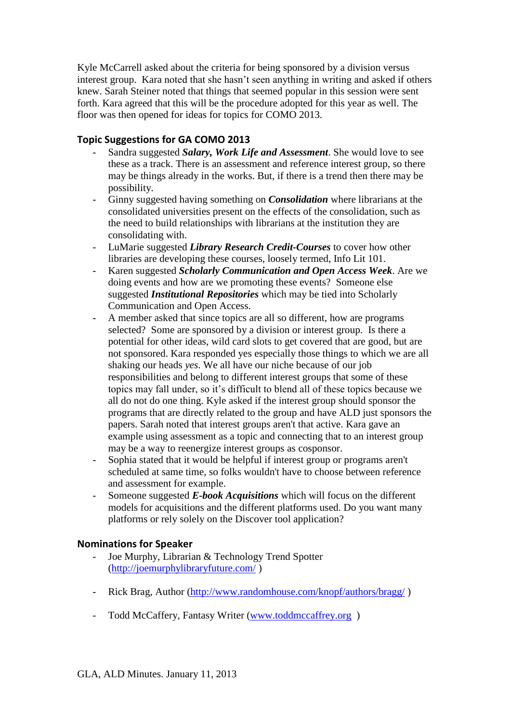Kyle McCarrell asked about the criteria for being sponsored by a division versus interest group. Kara noted that she hasn't seen anything in writing and asked if others knew. Sarah Steiner noted that things that seemed popular in this session were sent forth. Kara agreed that this will be the procedure adopted for this year as well. The floor was then opened for ideas for topics for COMO 2013.

## **Topic Suggestions for GA COMO 2013**

- Sandra suggested *Salary, Work Life and Assessment*. She would love to see these as a track. There is an assessment and reference interest group, so there may be things already in the works. But, if there is a trend then there may be possibility.
- Ginny suggested having something on *Consolidation* where librarians at the consolidated universities present on the effects of the consolidation, such as the need to build relationships with librarians at the institution they are consolidating with.
- LuMarie suggested *Library Research Credit-Courses* to cover how other libraries are developing these courses, loosely termed, Info Lit 101.
- Karen suggested *Scholarly Communication and Open Access Week*. Are we doing events and how are we promoting these events? Someone else suggested *Institutional Repositories* which may be tied into Scholarly Communication and Open Access.
- A member asked that since topics are all so different, how are programs selected? Some are sponsored by a division or interest group. Is there a potential for other ideas, wild card slots to get covered that are good, but are not sponsored. Kara responded yes especially those things to which we are all shaking our heads *yes*. We all have our niche because of our job responsibilities and belong to different interest groups that some of these topics may fall under, so it's difficult to blend all of these topics because we all do not do one thing. Kyle asked if the interest group should sponsor the programs that are directly related to the group and have ALD just sponsors the papers. Sarah noted that interest groups aren't that active. Kara gave an example using assessment as a topic and connecting that to an interest group may be a way to reenergize interest groups as cosponsor.
- Sophia stated that it would be helpful if interest group or programs aren't scheduled at same time, so folks wouldn't have to choose between reference and assessment for example.
- Someone suggested *E-book Acquisitions* which will focus on the different models for acquisitions and the different platforms used. Do you want many platforms or rely solely on the Discover tool application?

## **Nominations for Speaker**

- Joe Murphy, Librarian & Technology Trend Spotter [\(http://joemurphylibraryfuture.com/](http://joemurphylibraryfuture.com/) )
- Rick Brag, Author [\(http://www.randomhouse.com/knopf/authors/bragg/](http://www.randomhouse.com/knopf/authors/bragg/))
- Todd McCaffery, Fantasy Writer (www.toddmccaffrey.org)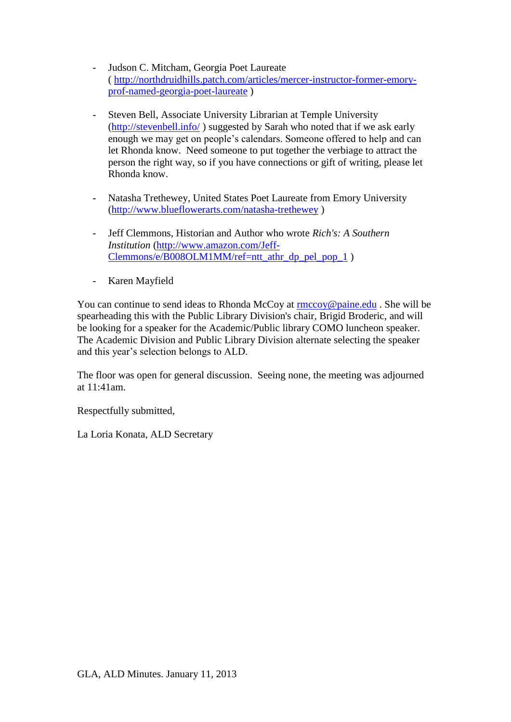- Judson C. Mitcham, Georgia Poet Laureate ( [http://northdruidhills.patch.com/articles/mercer-instructor-former-emory](http://northdruidhills.patch.com/articles/mercer-instructor-former-emory-prof-named-georgia-poet-laureate)[prof-named-georgia-poet-laureate](http://northdruidhills.patch.com/articles/mercer-instructor-former-emory-prof-named-georgia-poet-laureate) )
- Steven Bell, Associate University Librarian at Temple University [\(http://stevenbell.info/](http://stevenbell.info/) ) suggested by Sarah who noted that if we ask early enough we may get on people's calendars. Someone offered to help and can let Rhonda know. Need someone to put together the verbiage to attract the person the right way, so if you have connections or gift of writing, please let Rhonda know.
- Natasha Trethewey, United States Poet Laureate from Emory University [\(http://www.blueflowerarts.com/natasha-trethewey](http://www.blueflowerarts.com/natasha-trethewey) )
- Jeff Clemmons, Historian and Author who wrote *Rich's: A Southern Institution* [\(http://www.amazon.com/Jeff-](http://www.amazon.com/Jeff-Clemmons/e/B008OLM1MM/ref=ntt_athr_dp_pel_pop_1)[Clemmons/e/B008OLM1MM/ref=ntt\\_athr\\_dp\\_pel\\_pop\\_1](http://www.amazon.com/Jeff-Clemmons/e/B008OLM1MM/ref=ntt_athr_dp_pel_pop_1) )
- Karen Mayfield

You can continue to send ideas to Rhonda McCoy at [rmccoy@paine.edu](mailto:rmccoy@paine.edu) . She will be spearheading this with the Public Library Division's chair, Brigid Broderic, and will be looking for a speaker for the Academic/Public library COMO luncheon speaker. The Academic Division and Public Library Division alternate selecting the speaker and this year's selection belongs to ALD.

The floor was open for general discussion. Seeing none, the meeting was adjourned at 11:41am.

Respectfully submitted,

La Loria Konata, ALD Secretary